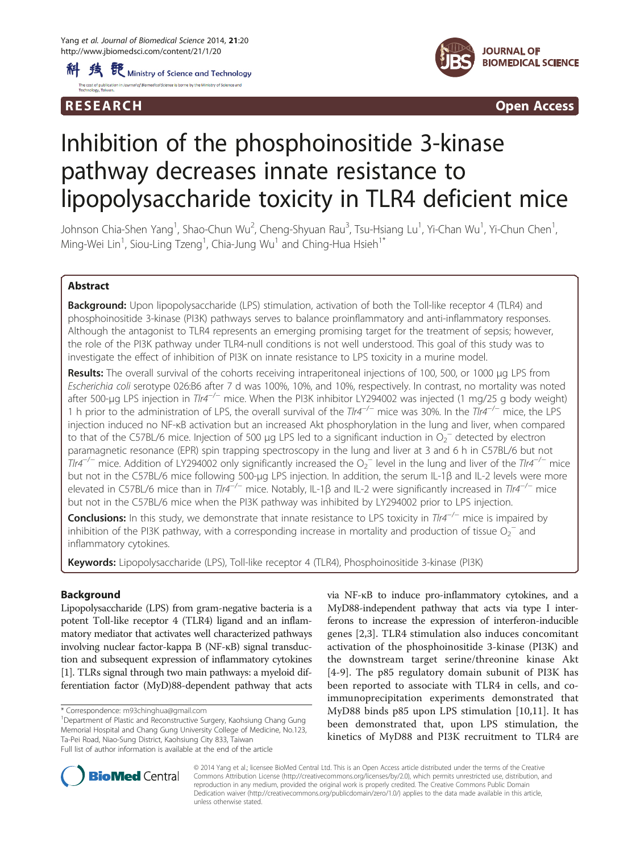



R E S EAR CH Open Access

# Inhibition of the phosphoinositide 3-kinase pathway decreases innate resistance to lipopolysaccharide toxicity in TLR4 deficient mice

Johnson Chia-Shen Yang<sup>1</sup>, Shao-Chun Wu<sup>2</sup>, Cheng-Shyuan Rau<sup>3</sup>, Tsu-Hsiang Lu<sup>1</sup>, Yi-Chan Wu<sup>1</sup>, Yi-Chun Chen<sup>1</sup> , Ming-Wei Lin $^1$ , Siou-Ling Tzeng $^1$ , Chia-Jung Wu $^1$  and Ching-Hua Hsieh $^1^\ast$ 

# Abstract

**Background:** Upon lipopolysaccharide (LPS) stimulation, activation of both the Toll-like receptor 4 (TLR4) and phosphoinositide 3-kinase (PI3K) pathways serves to balance proinflammatory and anti-inflammatory responses. Although the antagonist to TLR4 represents an emerging promising target for the treatment of sepsis; however, the role of the PI3K pathway under TLR4-null conditions is not well understood. This goal of this study was to investigate the effect of inhibition of PI3K on innate resistance to LPS toxicity in a murine model.

Results: The overall survival of the cohorts receiving intraperitoneal injections of 100, 500, or 1000 μg LPS from Escherichia coli serotype 026:B6 after 7 d was 100%, 10%, and 10%, respectively. In contrast, no mortality was noted after 500-μg LPS injection in Tlr4<sup>-/-</sup> mice. When the PI3K inhibitor LY294002 was injected (1 mg/25 g body weight) 1 h prior to the administration of LPS, the overall survival of the Tlr4<sup>-/−</sup> mice was 30%. In the Tlr4<sup>-/−</sup> mice, the LPS injection induced no NF-κB activation but an increased Akt phosphorylation in the lung and liver, when compared to that of the C57BL/6 mice. Injection of 500 µg LPS led to a significant induction in  $O_2^-$  detected by electron paramagnetic resonance (EPR) spin trapping spectroscopy in the lung and liver at 3 and 6 h in C57BL/6 but not  $T$ Ir4<sup>-/−</sup> mice. Addition of LY294002 only significantly increased the O<sub>2</sub><sup>−</sup> level in the lung and liver of the Tlr4<sup>-/−</sup> mice but not in the C57BL/6 mice following 500-μg LPS injection. In addition, the serum IL-1β and IL-2 levels were more elevated in C57BL/6 mice than in Tlr4<sup>-/-</sup> mice. Notably, IL-1β and IL-2 were significantly increased in Tlr4<sup>-/-</sup> mice but not in the C57BL/6 mice when the PI3K pathway was inhibited by LY294002 prior to LPS injection.

Conclusions: In this study, we demonstrate that innate resistance to LPS toxicity in Tlr4<sup>-/−</sup> mice is impaired by inhibition of the PI3K pathway, with a corresponding increase in mortality and production of tissue  $O_2^-$  and inflammatory cytokines.

Keywords: Lipopolysaccharide (LPS), Toll-like receptor 4 (TLR4), Phosphoinositide 3-kinase (PI3K)

# Background

Lipopolysaccharide (LPS) from gram-negative bacteria is a potent Toll-like receptor 4 (TLR4) ligand and an inflammatory mediator that activates well characterized pathways involving nuclear factor-kappa B (NF-κB) signal transduction and subsequent expression of inflammatory cytokines [[1](#page-6-0)]. TLRs signal through two main pathways: a myeloid differentiation factor (MyD)88-dependent pathway that acts

Department of Plastic and Reconstructive Surgery, Kaohsiung Chang Gung Memorial Hospital and Chang Gung University College of Medicine, No.123, Ta-Pei Road, Niao-Sung District, Kaohsiung City 833, Taiwan Full list of author information is available at the end of the article

via NF-κB to induce pro-inflammatory cytokines, and a MyD88-independent pathway that acts via type I interferons to increase the expression of interferon-inducible genes [\[2](#page-6-0),[3\]](#page-6-0). TLR4 stimulation also induces concomitant activation of the phosphoinositide 3-kinase (PI3K) and the downstream target serine/threonine kinase Akt [[4-9\]](#page-6-0). The p85 regulatory domain subunit of PI3K has been reported to associate with TLR4 in cells, and coimmunoprecipitation experiments demonstrated that MyD88 binds p85 upon LPS stimulation [\[10,11](#page-6-0)]. It has been demonstrated that, upon LPS stimulation, the kinetics of MyD88 and PI3K recruitment to TLR4 are



© 2014 Yang et al.; licensee BioMed Central Ltd. This is an Open Access article distributed under the terms of the Creative Commons Attribution License [\(http://creativecommons.org/licenses/by/2.0\)](http://creativecommons.org/licenses/by/2.0), which permits unrestricted use, distribution, and reproduction in any medium, provided the original work is properly credited. The Creative Commons Public Domain Dedication waiver [\(http://creativecommons.org/publicdomain/zero/1.0/](http://creativecommons.org/publicdomain/zero/1.0/)) applies to the data made available in this article, unless otherwise stated.

<sup>\*</sup> Correspondence: [m93chinghua@gmail.com](mailto:m93chinghua@gmail.com) <sup>1</sup>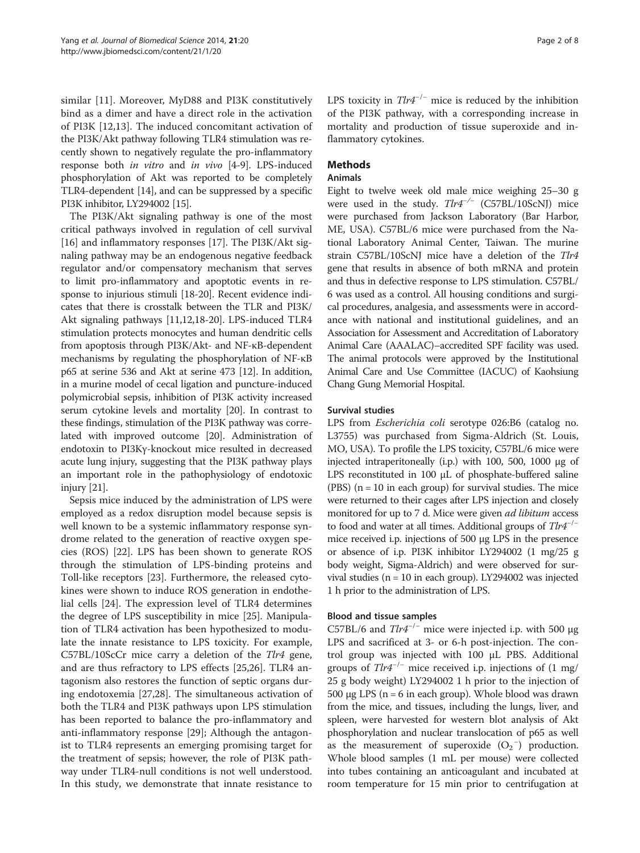similar [[11\]](#page-6-0). Moreover, MyD88 and PI3K constitutively bind as a dimer and have a direct role in the activation of PI3K [\[12](#page-6-0),[13\]](#page-6-0). The induced concomitant activation of the PI3K/Akt pathway following TLR4 stimulation was recently shown to negatively regulate the pro-inflammatory response both in vitro and in vivo [\[4](#page-6-0)-[9](#page-6-0)]. LPS-induced phosphorylation of Akt was reported to be completely TLR4-dependent [[14](#page-6-0)], and can be suppressed by a specific PI3K inhibitor, LY294002 [[15](#page-6-0)].

The PI3K/Akt signaling pathway is one of the most critical pathways involved in regulation of cell survival [[16\]](#page-6-0) and inflammatory responses [\[17\]](#page-6-0). The PI3K/Akt signaling pathway may be an endogenous negative feedback regulator and/or compensatory mechanism that serves to limit pro-inflammatory and apoptotic events in response to injurious stimuli [\[18](#page-6-0)-[20](#page-6-0)]. Recent evidence indicates that there is crosstalk between the TLR and PI3K/ Akt signaling pathways [[11,12,18-20\]](#page-6-0). LPS-induced TLR4 stimulation protects monocytes and human dendritic cells from apoptosis through PI3K/Akt- and NF-κB-dependent mechanisms by regulating the phosphorylation of NF-κB p65 at serine 536 and Akt at serine 473 [\[12](#page-6-0)]. In addition, in a murine model of cecal ligation and puncture-induced polymicrobial sepsis, inhibition of PI3K activity increased serum cytokine levels and mortality [\[20\]](#page-6-0). In contrast to these findings, stimulation of the PI3K pathway was correlated with improved outcome [[20](#page-6-0)]. Administration of endotoxin to PI3Kγ-knockout mice resulted in decreased acute lung injury, suggesting that the PI3K pathway plays an important role in the pathophysiology of endotoxic injury [[21](#page-6-0)].

Sepsis mice induced by the administration of LPS were employed as a redox disruption model because sepsis is well known to be a systemic inflammatory response syndrome related to the generation of reactive oxygen species (ROS) [[22](#page-6-0)]. LPS has been shown to generate ROS through the stimulation of LPS-binding proteins and Toll-like receptors [[23\]](#page-6-0). Furthermore, the released cytokines were shown to induce ROS generation in endothelial cells [[24](#page-6-0)]. The expression level of TLR4 determines the degree of LPS susceptibility in mice [\[25](#page-6-0)]. Manipulation of TLR4 activation has been hypothesized to modulate the innate resistance to LPS toxicity. For example, C57BL/10ScCr mice carry a deletion of the Tlr4 gene, and are thus refractory to LPS effects [[25,26\]](#page-6-0). TLR4 antagonism also restores the function of septic organs during endotoxemia [\[27,28\]](#page-6-0). The simultaneous activation of both the TLR4 and PI3K pathways upon LPS stimulation has been reported to balance the pro-inflammatory and anti-inflammatory response [[29\]](#page-6-0); Although the antagonist to TLR4 represents an emerging promising target for the treatment of sepsis; however, the role of PI3K pathway under TLR4-null conditions is not well understood. In this study, we demonstrate that innate resistance to LPS toxicity in  $T l r 4^{-/-}$  mice is reduced by the inhibition of the PI3K pathway, with a corresponding increase in mortality and production of tissue superoxide and inflammatory cytokines.

# Methods

# Animals

Eight to twelve week old male mice weighing 25–30 g were used in the study.  $Tlr4^{-/-}$  (C57BL/10ScNJ) mice were purchased from Jackson Laboratory (Bar Harbor, ME, USA). C57BL/6 mice were purchased from the National Laboratory Animal Center, Taiwan. The murine strain C57BL/10ScNJ mice have a deletion of the Tlr4 gene that results in absence of both mRNA and protein and thus in defective response to LPS stimulation. C57BL/ 6 was used as a control. All housing conditions and surgical procedures, analgesia, and assessments were in accordance with national and institutional guidelines, and an Association for Assessment and Accreditation of Laboratory Animal Care (AAALAC)–accredited SPF facility was used. The animal protocols were approved by the Institutional Animal Care and Use Committee (IACUC) of Kaohsiung Chang Gung Memorial Hospital.

## Survival studies

LPS from Escherichia coli serotype 026:B6 (catalog no. L3755) was purchased from Sigma-Aldrich (St. Louis, MO, USA). To profile the LPS toxicity, C57BL/6 mice were injected intraperitoneally (i.p.) with 100, 500, 1000 μg of LPS reconstituted in 100 μL of phosphate-buffered saline (PBS)  $(n = 10$  in each group) for survival studies. The mice were returned to their cages after LPS injection and closely monitored for up to 7 d. Mice were given ad libitum access to food and water at all times. Additional groups of  $Tlr4^{-/-}$ mice received i.p. injections of 500 μg LPS in the presence or absence of i.p. PI3K inhibitor LY294002 (1 mg/25 g body weight, Sigma-Aldrich) and were observed for survival studies ( $n = 10$  in each group). LY294002 was injected 1 h prior to the administration of LPS.

# Blood and tissue samples

C57BL/6 and  $Tlr4^{-/-}$  mice were injected i.p. with 500 µg LPS and sacrificed at 3- or 6-h post-injection. The control group was injected with 100 μL PBS. Additional groups of  $T\ell r 4^{-/-}$  mice received i.p. injections of (1 mg/ 25 g body weight) LY294002 1 h prior to the injection of 500 μg LPS (n = 6 in each group). Whole blood was drawn from the mice, and tissues, including the lungs, liver, and spleen, were harvested for western blot analysis of Akt phosphorylation and nuclear translocation of p65 as well as the measurement of superoxide  $(O_2^-)$  production. Whole blood samples (1 mL per mouse) were collected into tubes containing an anticoagulant and incubated at room temperature for 15 min prior to centrifugation at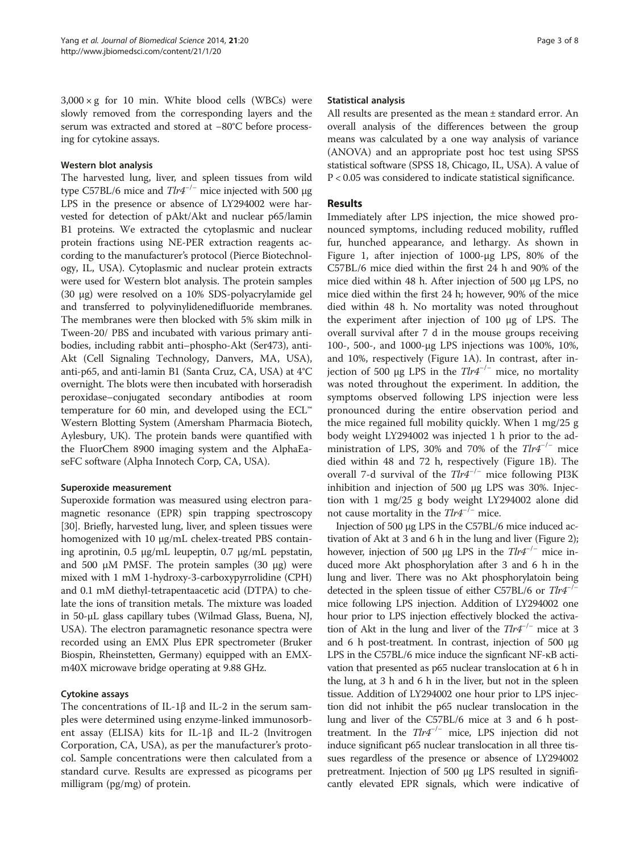$3,000 \times g$  for 10 min. White blood cells (WBCs) were slowly removed from the corresponding layers and the serum was extracted and stored at −80°C before processing for cytokine assays.

## Western blot analysis

The harvested lung, liver, and spleen tissues from wild type C57BL/6 mice and  $T l r 4^{-/-}$  mice injected with 500 μg LPS in the presence or absence of LY294002 were harvested for detection of pAkt/Akt and nuclear p65/lamin B1 proteins. We extracted the cytoplasmic and nuclear protein fractions using NE-PER extraction reagents according to the manufacturer's protocol (Pierce Biotechnology, IL, USA). Cytoplasmic and nuclear protein extracts were used for Western blot analysis. The protein samples (30 μg) were resolved on a 10% SDS-polyacrylamide gel and transferred to polyvinylidenedifluoride membranes. The membranes were then blocked with 5% skim milk in Tween-20/ PBS and incubated with various primary antibodies, including rabbit anti–phospho-Akt (Ser473), anti-Akt (Cell Signaling Technology, Danvers, MA, USA), anti-p65, and anti-lamin B1 (Santa Cruz, CA, USA) at 4°C overnight. The blots were then incubated with horseradish peroxidase–conjugated secondary antibodies at room temperature for 60 min, and developed using the ECL™ Western Blotting System (Amersham Pharmacia Biotech, Aylesbury, UK). The protein bands were quantified with the FluorChem 8900 imaging system and the AlphaEaseFC software (Alpha Innotech Corp, CA, USA).

# Superoxide measurement

Superoxide formation was measured using electron paramagnetic resonance (EPR) spin trapping spectroscopy [[30](#page-6-0)]. Briefly, harvested lung, liver, and spleen tissues were homogenized with 10 μg/mL chelex-treated PBS containing aprotinin, 0.5 μg/mL leupeptin, 0.7 μg/mL pepstatin, and 500 μM PMSF. The protein samples  $(30 \mu g)$  were mixed with 1 mM 1-hydroxy-3-carboxypyrrolidine (CPH) and 0.1 mM diethyl-tetrapentaacetic acid (DTPA) to chelate the ions of transition metals. The mixture was loaded in 50-μL glass capillary tubes (Wilmad Glass, Buena, NJ, USA). The electron paramagnetic resonance spectra were recorded using an EMX Plus EPR spectrometer (Bruker Biospin, Rheinstetten, Germany) equipped with an EMXm40X microwave bridge operating at 9.88 GHz.

# Cytokine assays

The concentrations of IL-1 $\beta$  and IL-2 in the serum samples were determined using enzyme-linked immunosorbent assay (ELISA) kits for IL-1 $\beta$  and IL-2 (lnvitrogen Corporation, CA, USA), as per the manufacturer's protocol. Sample concentrations were then calculated from a standard curve. Results are expressed as picograms per milligram (pg/mg) of protein.

## Statistical analysis

All results are presented as the mean ± standard error. An overall analysis of the differences between the group means was calculated by a one way analysis of variance (ANOVA) and an appropriate post hoc test using SPSS statistical software (SPSS 18, Chicago, IL, USA). A value of P < 0.05 was considered to indicate statistical significance.

# Results

Immediately after LPS injection, the mice showed pronounced symptoms, including reduced mobility, ruffled fur, hunched appearance, and lethargy. As shown in Figure [1,](#page-3-0) after injection of 1000-μg LPS, 80% of the C57BL/6 mice died within the first 24 h and 90% of the mice died within 48 h. After injection of 500 μg LPS, no mice died within the first 24 h; however, 90% of the mice died within 48 h. No mortality was noted throughout the experiment after injection of 100 μg of LPS. The overall survival after 7 d in the mouse groups receiving 100-, 500-, and 1000-μg LPS injections was 100%, 10%, and 10%, respectively (Figure [1A](#page-3-0)). In contrast, after injection of 500 μg LPS in the  $Tlr4^{-/-}$  mice, no mortality was noted throughout the experiment. In addition, the symptoms observed following LPS injection were less pronounced during the entire observation period and the mice regained full mobility quickly. When 1 mg/25 g body weight LY294002 was injected 1 h prior to the administration of LPS, 30% and 70% of the  $Tlr4^{-/-}$  mice died within 48 and 72 h, respectively (Figure [1B](#page-3-0)). The overall 7-d survival of the  $Tlr4^{-/-}$  mice following PI3K inhibition and injection of 500 μg LPS was 30%. Injection with 1 mg/25 g body weight LY294002 alone did not cause mortality in the  $Tlr4^{-/-}$  mice.

Injection of 500 μg LPS in the C57BL/6 mice induced activation of Akt at 3 and 6 h in the lung and liver (Figure [2](#page-3-0)); however, injection of 500 μg LPS in the  $T\ell r 4^{-/-}$  mice induced more Akt phosphorylation after 3 and 6 h in the lung and liver. There was no Akt phosphorylatoin being detected in the spleen tissue of either C57BL/6 or Tlr4<sup>-/−</sup> mice following LPS injection. Addition of LY294002 one hour prior to LPS injection effectively blocked the activation of Akt in the lung and liver of the  $Tlr4^{-/-}$  mice at 3 and 6 h post-treatment. In contrast, injection of 500 μg LPS in the C57BL/6 mice induce the signficant NF-κB activation that presented as p65 nuclear translocation at 6 h in the lung, at 3 h and 6 h in the liver, but not in the spleen tissue. Addition of LY294002 one hour prior to LPS injection did not inhibit the p65 nuclear translocation in the lung and liver of the C57BL/6 mice at 3 and 6 h posttreatment. In the  $Tlr4^{-/-}$  mice, LPS injection did not induce significant p65 nuclear translocation in all three tissues regardless of the presence or absence of LY294002 pretreatment. Injection of 500 μg LPS resulted in significantly elevated EPR signals, which were indicative of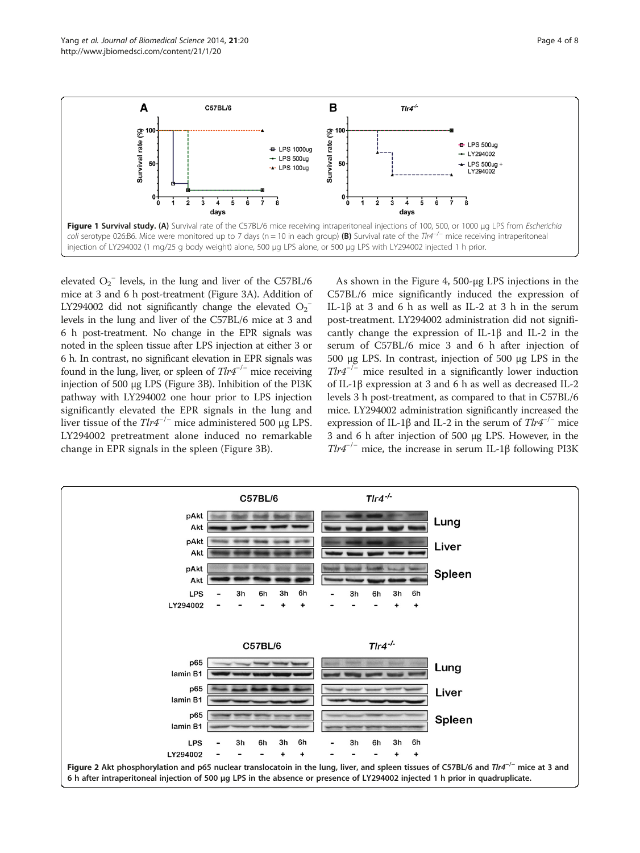<span id="page-3-0"></span>

elevated  $O_2^-$  levels, in the lung and liver of the C57BL/6 mice at 3 and 6 h post-treatment (Figure [3](#page-4-0)A). Addition of LY294002 did not significantly change the elevated  $O_2^$ levels in the lung and liver of the C57BL/6 mice at 3 and 6 h post-treatment. No change in the EPR signals was noted in the spleen tissue after LPS injection at either 3 or 6 h. In contrast, no significant elevation in EPR signals was found in the lung, liver, or spleen of  $Tlr4^{-/-}$  mice receiving injection of 500 μg LPS (Figure [3B](#page-4-0)). Inhibition of the PI3K pathway with LY294002 one hour prior to LPS injection significantly elevated the EPR signals in the lung and liver tissue of the  $Tlr4^{-/-}$  mice administered 500 μg LPS. LY294002 pretreatment alone induced no remarkable change in EPR signals in the spleen (Figure [3B](#page-4-0)).

As shown in the Figure [4,](#page-5-0) 500-μg LPS injections in the C57BL/6 mice significantly induced the expression of IL-1β at 3 and 6 h as well as IL-2 at 3 h in the serum post-treatment. LY294002 administration did not significantly change the expression of IL-1β and IL-2 in the serum of C57BL/6 mice 3 and 6 h after injection of 500 μg LPS. In contrast, injection of 500 μg LPS in the  $Tlr4^{-/-}$  mice resulted in a significantly lower induction of IL-1β expression at 3 and 6 h as well as decreased IL-2 levels 3 h post-treatment, as compared to that in C57BL/6 mice. LY294002 administration significantly increased the expression of IL-1β and IL-2 in the serum of  $Tlr4^{-/-}$  mice 3 and 6 h after injection of 500 μg LPS. However, in the  $T l r 4^{-/-}$  mice, the increase in serum IL-1β following PI3K

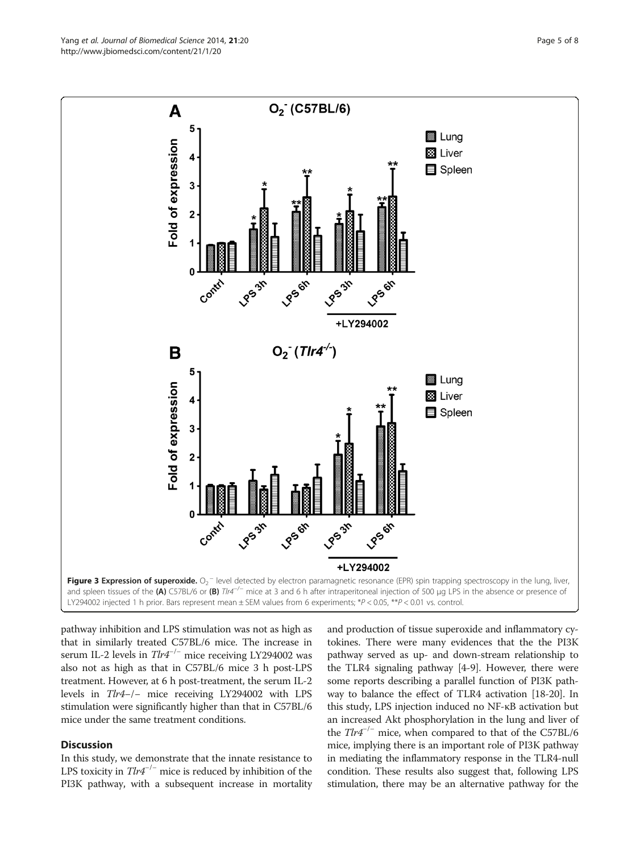pathway inhibition and LPS stimulation was not as high as that in similarly treated C57BL/6 mice. The increase in serum IL-2 levels in Tlr4<sup>-/-</sup> mice receiving LY294002 was also not as high as that in C57BL/6 mice 3 h post-LPS treatment. However, at 6 h post-treatment, the serum IL-2 levels in Tlr4−/− mice receiving LY294002 with LPS stimulation were significantly higher than that in C57BL/6 mice under the same treatment conditions.

# **Discussion**

In this study, we demonstrate that the innate resistance to LPS toxicity in  $Tlr4^{-/-}$  mice is reduced by inhibition of the PI3K pathway, with a subsequent increase in mortality

and production of tissue superoxide and inflammatory cytokines. There were many evidences that the the PI3K pathway served as up- and down-stream relationship to the TLR4 signaling pathway [[4](#page-6-0)-[9\]](#page-6-0). However, there were some reports describing a parallel function of PI3K pathway to balance the effect of TLR4 activation [\[18-20\]](#page-6-0). In this study, LPS injection induced no NF-κB activation but an increased Akt phosphorylation in the lung and liver of the Tlr4−/<sup>−</sup> mice, when compared to that of the C57BL/6 mice, implying there is an important role of PI3K pathway in mediating the inflammatory response in the TLR4-null condition. These results also suggest that, following LPS stimulation, there may be an alternative pathway for the

<span id="page-4-0"></span>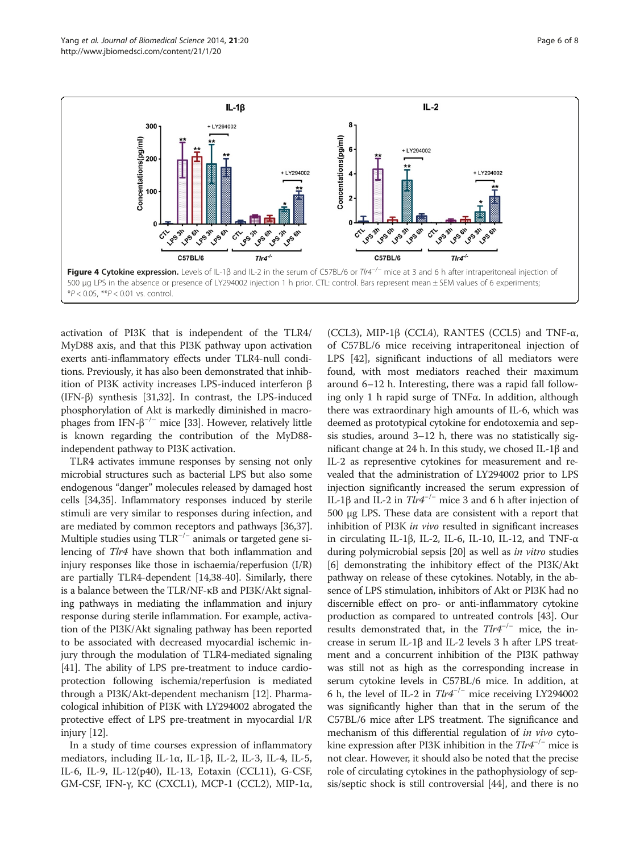<span id="page-5-0"></span>

activation of PI3K that is independent of the TLR4/ MyD88 axis, and that this PI3K pathway upon activation exerts anti-inflammatory effects under TLR4-null conditions. Previously, it has also been demonstrated that inhibition of PI3K activity increases LPS-induced interferon β (IFN-β) synthesis [\[31,](#page-6-0)[32](#page-7-0)]. In contrast, the LPS-induced phosphorylation of Akt is markedly diminished in macrophages from IFN- $\beta$ <sup>-/-</sup> mice [[33](#page-7-0)]. However, relatively little is known regarding the contribution of the MyD88 independent pathway to PI3K activation.

TLR4 activates immune responses by sensing not only microbial structures such as bacterial LPS but also some endogenous "danger" molecules released by damaged host cells [[34,35](#page-7-0)]. Inflammatory responses induced by sterile stimuli are very similar to responses during infection, and are mediated by common receptors and pathways [\[36,37](#page-7-0)]. Multiple studies using  $TLR^{-/-}$  animals or targeted gene silencing of Tlr4 have shown that both inflammation and injury responses like those in ischaemia/reperfusion (I/R) are partially TLR4-dependent [[14](#page-6-0),[38](#page-7-0)-[40](#page-7-0)]. Similarly, there is a balance between the TLR/NF-κB and PI3K/Akt signaling pathways in mediating the inflammation and injury response during sterile inflammation. For example, activation of the PI3K/Akt signaling pathway has been reported to be associated with decreased myocardial ischemic injury through the modulation of TLR4-mediated signaling [[41](#page-7-0)]. The ability of LPS pre-treatment to induce cardioprotection following ischemia/reperfusion is mediated through a PI3K/Akt-dependent mechanism [\[12\]](#page-6-0). Pharmacological inhibition of PI3K with LY294002 abrogated the protective effect of LPS pre-treatment in myocardial I/R injury [[12](#page-6-0)].

In a study of time courses expression of inflammatory mediators, including IL-1 $\alpha$ , IL-1 $\beta$ , IL-2, IL-3, IL-4, IL-5, IL-6, IL-9, IL-12(p40), IL-13, Eotaxin (CCL11), G-CSF, GM-CSF, IFN-γ, KC (CXCL1), MCP-1 (CCL2), MIP-1α,

(CCL3), MIP-1 $\beta$  (CCL4), RANTES (CCL5) and TNF- $\alpha$ , of C57BL/6 mice receiving intraperitoneal injection of LPS [\[42](#page-7-0)], significant inductions of all mediators were found, with most mediators reached their maximum around 6–12 h. Interesting, there was a rapid fall following only 1 h rapid surge of TNFα. In addition, although there was extraordinary high amounts of IL-6, which was deemed as prototypical cytokine for endotoxemia and sepsis studies, around 3–12 h, there was no statistically significant change at 24 h. In this study, we chosed IL-1β and IL-2 as representive cytokines for measurement and revealed that the administration of LY294002 prior to LPS injection significantly increased the serum expression of IL-1β and IL-2 in  $T\ell r4^{-/-}$  mice 3 and 6 h after injection of 500 μg LPS. These data are consistent with a report that inhibition of PI3K in vivo resulted in significant increases in circulating IL-1β, IL-2, IL-6, IL-10, IL-12, and TNF-α during polymicrobial sepsis [\[20\]](#page-6-0) as well as in vitro studies [[6\]](#page-6-0) demonstrating the inhibitory effect of the PI3K/Akt pathway on release of these cytokines. Notably, in the absence of LPS stimulation, inhibitors of Akt or PI3K had no discernible effect on pro- or anti-inflammatory cytokine production as compared to untreated controls [\[43\]](#page-7-0). Our results demonstrated that, in the  $Tlr4^{-/-}$  mice, the increase in serum IL-1β and IL-2 levels 3 h after LPS treatment and a concurrent inhibition of the PI3K pathway was still not as high as the corresponding increase in serum cytokine levels in C57BL/6 mice. In addition, at 6 h, the level of IL-2 in  $Tlr4^{-/-}$  mice receiving LY294002 was significantly higher than that in the serum of the C57BL/6 mice after LPS treatment. The significance and mechanism of this differential regulation of in vivo cytokine expression after PI3K inhibition in the  $Tlr4^{-/-}$  mice is not clear. However, it should also be noted that the precise role of circulating cytokines in the pathophysiology of sepsis/septic shock is still controversial [\[44\]](#page-7-0), and there is no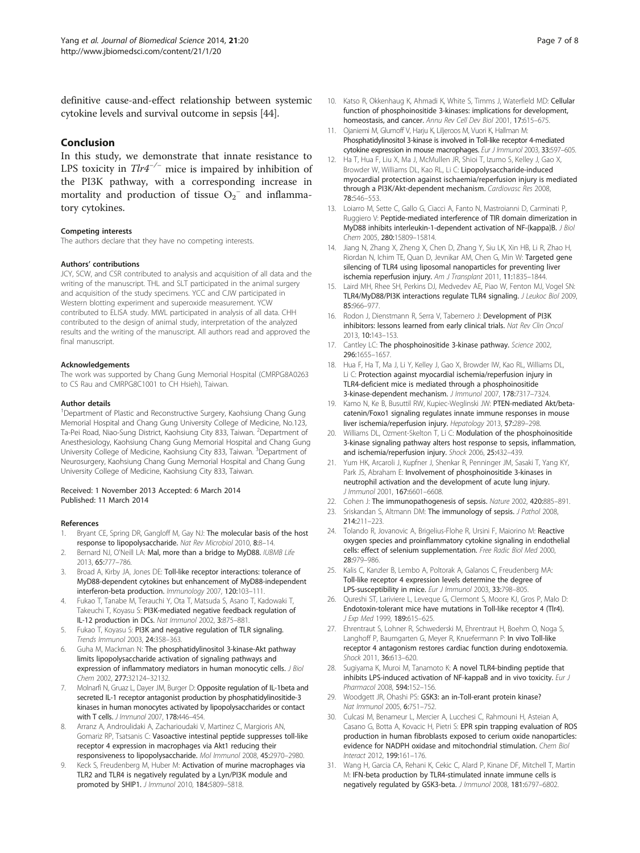<span id="page-6-0"></span>definitive cause-and-effect relationship between systemic cytokine levels and survival outcome in sepsis [\[44\]](#page-7-0).

## Conclusion

In this study, we demonstrate that innate resistance to LPS toxicity in  $Tlr4^{-/-}$  mice is impaired by inhibition of the PI3K pathway, with a corresponding increase in mortality and production of tissue  $O_2^-$  and inflammatory cytokines.

## Competing interests

The authors declare that they have no competing interests.

## Authors' contributions

JCY, SCW, and CSR contributed to analysis and acquisition of all data and the writing of the manuscript. THL and SLT participated in the animal surgery and acquisition of the study specimens. YCC and CJW participated in Western blotting experiment and superoxide measurement. YCW contributed to ELISA study. MWL participated in analysis of all data. CHH contributed to the design of animal study, interpretation of the analyzed results and the writing of the manuscript. All authors read and approved the final manuscript.

## Acknowledgements

The work was supported by Chang Gung Memorial Hospital (CMRPG8A0263 to CS Rau and CMRPG8C1001 to CH Hsieh), Taiwan.

## Author details

<sup>1</sup>Department of Plastic and Reconstructive Surgery, Kaohsiung Chang Gung Memorial Hospital and Chang Gung University College of Medicine, No.123, Ta-Pei Road, Niao-Sung District, Kaohsiung City 833, Taiwan. <sup>2</sup>Department of Anesthesiology, Kaohsiung Chang Gung Memorial Hospital and Chang Gung University College of Medicine, Kaohsiung City 833, Taiwan. <sup>3</sup>Department of Neurosurgery, Kaohsiung Chang Gung Memorial Hospital and Chang Gung University College of Medicine, Kaohsiung City 833, Taiwan.

#### Received: 1 November 2013 Accepted: 6 March 2014 Published: 11 March 2014

## References

- 1. Bryant CE, Spring DR, Gangloff M, Gay NJ: The molecular basis of the host response to lipopolysaccharide. Nat Rev Microbiol 2010, 8:8–14.
- Bernard NJ, O'Neill LA: Mal, more than a bridge to MyD88. IUBMB Life 2013, 65:777–786.
- Broad A, Kirby JA, Jones DE: Toll-like receptor interactions: tolerance of MyD88-dependent cytokines but enhancement of MyD88-independent interferon-beta production. Immunology 2007, 120:103–111.
- 4. Fukao T, Tanabe M, Terauchi Y, Ota T, Matsuda S, Asano T, Kadowaki T, Takeuchi T, Koyasu S: PI3K-mediated negative feedback regulation of IL-12 production in DCs. Nat Immunol 2002, 3:875–881.
- Fukao T, Koyasu S: PI3K and negative regulation of TLR signaling. Trends Immunol 2003, 24:358–363.
- 6. Guha M, Mackman N: The phosphatidylinositol 3-kinase-Akt pathway limits lipopolysaccharide activation of signaling pathways and expression of inflammatory mediators in human monocytic cells. J Biol Chem 2002, 277:32124–32132.
- Molnarfi N, Gruaz L, Dayer JM, Burger D: Opposite regulation of IL-1beta and secreted IL-1 receptor antagonist production by phosphatidylinositide-3 kinases in human monocytes activated by lipopolysaccharides or contact with T cells. J Immunol 2007, 178:446–454.
- 8. Arranz A, Androulidaki A, Zacharioudaki V, Martinez C, Margioris AN, Gomariz RP, Tsatsanis C: Vasoactive intestinal peptide suppresses toll-like receptor 4 expression in macrophages via Akt1 reducing their responsiveness to lipopolysaccharide. Mol Immunol 2008, 45:2970–2980.
- 9. Keck S, Freudenberg M, Huber M: Activation of murine macrophages via TLR2 and TLR4 is negatively regulated by a Lyn/PI3K module and promoted by SHIP1. J Immunol 2010, 184:5809–5818.
- 10. Katso R, Okkenhaug K, Ahmadi K, White S, Timms J, Waterfield MD: Cellular function of phosphoinositide 3-kinases: implications for development, homeostasis, and cancer. Annu Rev Cell Dev Biol 2001, 17:615–675.
- 11. Ojaniemi M, Glumoff V, Harju K, Liljeroos M, Vuori K, Hallman M: Phosphatidylinositol 3-kinase is involved in Toll-like receptor 4-mediated cytokine expression in mouse macrophages. Eur J Immunol 2003, 33:597–605.
- 12. Ha T, Hua F, Liu X, Ma J, McMullen JR, Shioi T, Izumo S, Kelley J, Gao X, Browder W, Williams DL, Kao RL, Li C: Lipopolysaccharide-induced myocardial protection against ischaemia/reperfusion injury is mediated through a PI3K/Akt-dependent mechanism. Cardiovasc Res 2008, 78:546–553.
- 13. Loiarro M, Sette C, Gallo G, Ciacci A, Fanto N, Mastroianni D, Carminati P, Ruggiero V: Peptide-mediated interference of TIR domain dimerization in MyD88 inhibits interleukin-1-dependent activation of NF-{kappa}B. J Biol Chem 2005, 280:15809–15814.
- 14. Jiang N, Zhang X, Zheng X, Chen D, Zhang Y, Siu LK, Xin HB, Li R, Zhao H, Riordan N, Ichim TE, Quan D, Jevnikar AM, Chen G, Min W: Targeted gene silencing of TLR4 using liposomal nanoparticles for preventing liver ischemia reperfusion injury. Am J Transplant 2011, 11:1835–1844.
- 15. Laird MH, Rhee SH, Perkins DJ, Medvedev AE, Piao W, Fenton MJ, Vogel SN: TLR4/MyD88/PI3K interactions regulate TLR4 signaling. J Leukoc Biol 2009, 85:966–977.
- 16. Rodon J, Dienstmann R, Serra V, Tabernero J: Development of PI3K inhibitors: lessons learned from early clinical trials. Nat Rev Clin Oncol 2013, 10:143–153.
- 17. Cantley LC: The phosphoinositide 3-kinase pathway. Science 2002, 296:1655–1657.
- 18. Hua F, Ha T, Ma J, Li Y, Kelley J, Gao X, Browder IW, Kao RL, Williams DL, Li C: Protection against myocardial ischemia/reperfusion injury in TLR4-deficient mice is mediated through a phosphoinositide 3-kinase-dependent mechanism. J Immunol 2007, 178:7317–7324.
- 19. Kamo N, Ke B, Busuttil RW, Kupiec-Weglinski JW: PTEN-mediated Akt/betacatenin/Foxo1 signaling regulates innate immune responses in mouse liver ischemia/reperfusion injury. Hepatology 2013, 57:289–298.
- 20. Williams DL, Ozment-Skelton T, Li C: Modulation of the phosphoinositide 3-kinase signaling pathway alters host response to sepsis, inflammation, and ischemia/reperfusion injury. Shock 2006, 25:432–439.
- 21. Yum HK, Arcaroli J, Kupfner J, Shenkar R, Penninger JM, Sasaki T, Yang KY, Park JS, Abraham E: Involvement of phosphoinositide 3-kinases in neutrophil activation and the development of acute lung injury. J Immunol 2001, 167:6601–6608.
- 22. Cohen J: The immunopathogenesis of sepsis. Nature 2002, 420:885-891.
- 23. Sriskandan S, Altmann DM: The immunology of sepsis. J Pathol 2008, 214:211–223.
- 24. Tolando R, Jovanovic A, Brigelius-Flohe R, Ursini F, Maiorino M: Reactive oxygen species and proinflammatory cytokine signaling in endothelial cells: effect of selenium supplementation. Free Radic Biol Med 2000, 28:979–986.
- 25. Kalis C, Kanzler B, Lembo A, Poltorak A, Galanos C, Freudenberg MA: Toll-like receptor 4 expression levels determine the degree of LPS-susceptibility in mice. Eur J Immunol 2003, 33:798-805.
- 26. Qureshi ST, Lariviere L, Leveque G, Clermont S, Moore KJ, Gros P, Malo D: Endotoxin-tolerant mice have mutations in Toll-like receptor 4 (Tlr4). J Exp Med 1999, 189:615-625.
- 27. Ehrentraut S, Lohner R, Schwederski M, Ehrentraut H, Boehm O, Noga S, Langhoff P, Baumgarten G, Meyer R, Knuefermann P: In vivo Toll-like receptor 4 antagonism restores cardiac function during endotoxemia. Shock 2011, 36:613-620.
- 28. Sugiyama K, Muroi M, Tanamoto K: A novel TLR4-binding peptide that inhibits LPS-induced activation of NF-kappaB and in vivo toxicity. Eur J Pharmacol 2008, 594:152–156.
- 29. Woodgett JR, Ohashi PS: GSK3: an in-Toll-erant protein kinase? Nat Immunol 2005, 6:751–752.
- 30. Culcasi M, Benameur L, Mercier A, Lucchesi C, Rahmouni H, Asteian A, Casano G, Botta A, Kovacic H, Pietri S: EPR spin trapping evaluation of ROS production in human fibroblasts exposed to cerium oxide nanoparticles: evidence for NADPH oxidase and mitochondrial stimulation. Chem Biol Interact 2012, 199:161–176.
- 31. Wang H, Garcia CA, Rehani K, Cekic C, Alard P, Kinane DF, Mitchell T, Martin M: IFN-beta production by TLR4-stimulated innate immune cells is negatively regulated by GSK3-beta. J Immunol 2008, 181:6797–6802.